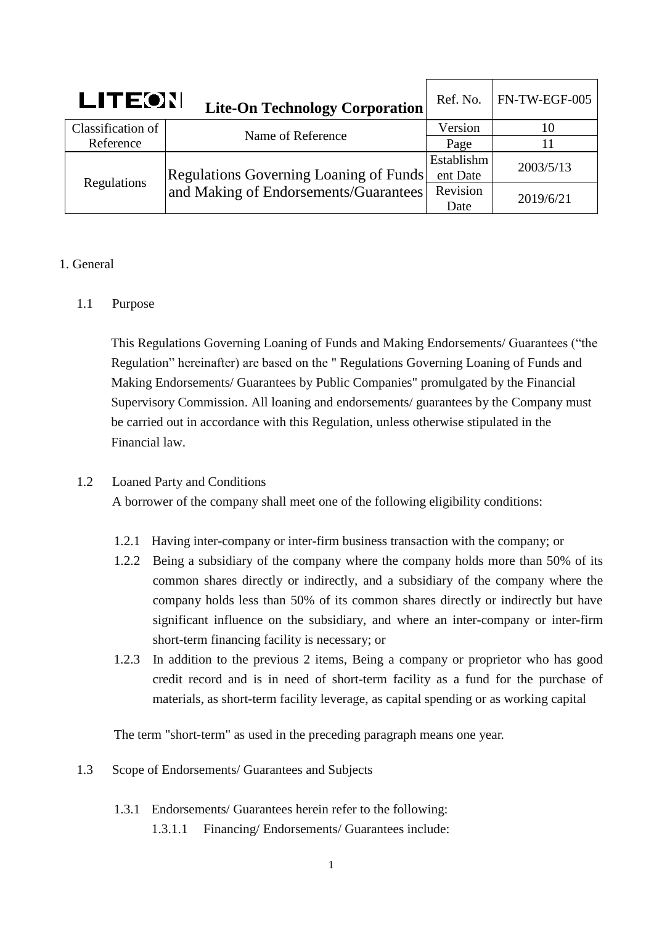| LITEON            | <b>Lite-On Technology Corporation</b>                                           | Ref. No.   | FN-TW-EGF-005 |
|-------------------|---------------------------------------------------------------------------------|------------|---------------|
| Classification of | Name of Reference                                                               | Version    | 10            |
| Reference         |                                                                                 | Page       |               |
| Regulations       | Regulations Governing Loaning of Funds<br>and Making of Endorsements/Guarantees | Establishm | 2003/5/13     |
|                   |                                                                                 | ent Date   |               |
|                   |                                                                                 | Revision   | 2019/6/21     |
|                   |                                                                                 | Date       |               |

# 1. General

# 1.1 Purpose

This Regulations Governing Loaning of Funds and Making Endorsements/ Guarantees ("the Regulation" hereinafter) are based on the " Regulations Governing Loaning of Funds and Making Endorsements/ Guarantees by Public Companies" promulgated by the Financial Supervisory Commission. All loaning and endorsements/ guarantees by the Company must be carried out in accordance with this Regulation, unless otherwise stipulated in the Financial law.

# 1.2 Loaned Party and Conditions

A borrower of the company shall meet one of the following eligibility conditions:

- 1.2.1 Having inter-company or inter-firm business transaction with the company; or
- 1.2.2 Being a subsidiary of the company where the company holds more than 50% of its common shares directly or indirectly, and a subsidiary of the company where the company holds less than 50% of its common shares directly or indirectly but have significant influence on the subsidiary, and where an inter-company or inter-firm short-term financing facility is necessary; or
- 1.2.3 In addition to the previous 2 items, Being a company or proprietor who has good credit record and is in need of short-term facility as a fund for the purchase of materials, as short-term facility leverage, as capital spending or as working capital

The term "short-term" as used in the preceding paragraph means one year.

- 1.3 Scope of Endorsements/ Guarantees and Subjects
	- 1.3.1 Endorsements/ Guarantees herein refer to the following: 1.3.1.1 Financing/ Endorsements/ Guarantees include: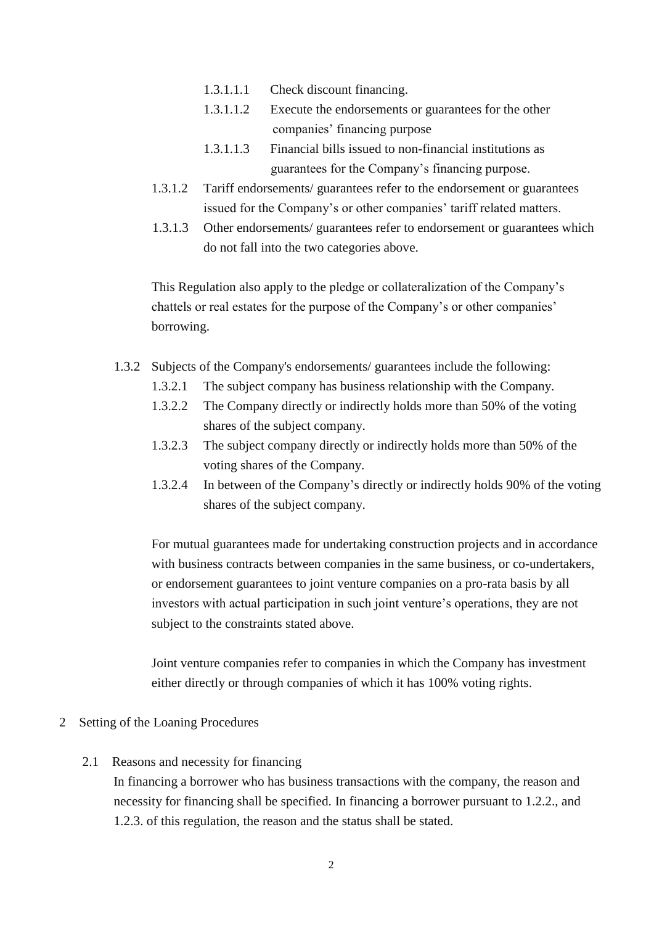- 1.3.1.1.1 Check discount financing.
- 1.3.1.1.2 Execute the endorsements or guarantees for the other companies' financing purpose
- 1.3.1.1.3 Financial bills issued to non-financial institutions as guarantees for the Company's financing purpose.
- 1.3.1.2 Tariff endorsements/ guarantees refer to the endorsement or guarantees issued for the Company's or other companies' tariff related matters.
- 1.3.1.3 Other endorsements/ guarantees refer to endorsement or guarantees which do not fall into the two categories above.

This Regulation also apply to the pledge or collateralization of the Company's chattels or real estates for the purpose of the Company's or other companies' borrowing.

- 1.3.2 Subjects of the Company's endorsements/ guarantees include the following:
	- 1.3.2.1 The subject company has business relationship with the Company.
	- 1.3.2.2 The Company directly or indirectly holds more than 50% of the voting shares of the subject company.
	- 1.3.2.3 The subject company directly or indirectly holds more than 50% of the voting shares of the Company.
	- 1.3.2.4 In between of the Company's directly or indirectly holds 90% of the voting shares of the subject company.

For mutual guarantees made for undertaking construction projects and in accordance with business contracts between companies in the same business, or co-undertakers, or endorsement guarantees to joint venture companies on a pro-rata basis by all investors with actual participation in such joint venture's operations, they are not subject to the constraints stated above.

Joint venture companies refer to companies in which the Company has investment either directly or through companies of which it has 100% voting rights.

### 2 Setting of the Loaning Procedures

2.1 Reasons and necessity for financing

In financing a borrower who has business transactions with the company, the reason and necessity for financing shall be specified. In financing a borrower pursuant to 1.2.2., and 1.2.3. of this regulation, the reason and the status shall be stated.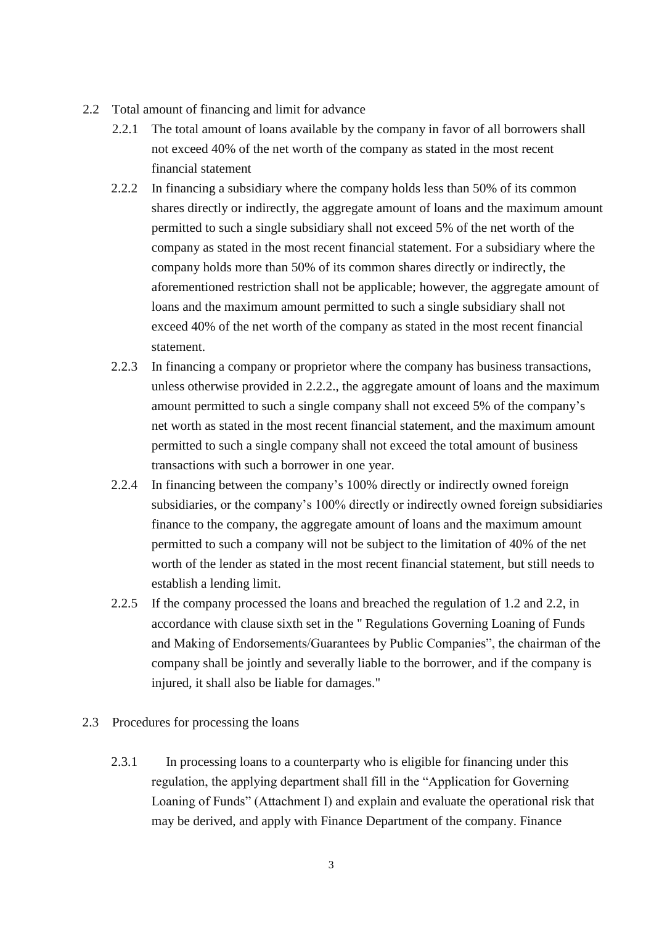- 2.2 Total amount of financing and limit for advance
	- 2.2.1 The total amount of loans available by the company in favor of all borrowers shall not exceed 40% of the net worth of the company as stated in the most recent financial statement
	- 2.2.2 In financing a subsidiary where the company holds less than 50% of its common shares directly or indirectly, the aggregate amount of loans and the maximum amount permitted to such a single subsidiary shall not exceed 5% of the net worth of the company as stated in the most recent financial statement. For a subsidiary where the company holds more than 50% of its common shares directly or indirectly, the aforementioned restriction shall not be applicable; however, the aggregate amount of loans and the maximum amount permitted to such a single subsidiary shall not exceed 40% of the net worth of the company as stated in the most recent financial statement.
	- 2.2.3 In financing a company or proprietor where the company has business transactions, unless otherwise provided in 2.2.2., the aggregate amount of loans and the maximum amount permitted to such a single company shall not exceed 5% of the company's net worth as stated in the most recent financial statement, and the maximum amount permitted to such a single company shall not exceed the total amount of business transactions with such a borrower in one year.
	- 2.2.4 In financing between the company's 100% directly or indirectly owned foreign subsidiaries, or the company's 100% directly or indirectly owned foreign subsidiaries finance to the company, the aggregate amount of loans and the maximum amount permitted to such a company will not be subject to the limitation of 40% of the net worth of the lender as stated in the most recent financial statement, but still needs to establish a lending limit.
	- 2.2.5 If the company processed the loans and breached the regulation of 1.2 and 2.2, in accordance with clause sixth set in the " Regulations Governing Loaning of Funds and Making of Endorsements/Guarantees by Public Companies", the chairman of the company shall be jointly and severally liable to the borrower, and if the company is injured, it shall also be liable for damages."
- 2.3 Procedures for processing the loans
	- 2.3.1 In processing loans to a counterparty who is eligible for financing under this regulation, the applying department shall fill in the "Application for Governing Loaning of Funds" (Attachment I) and explain and evaluate the operational risk that may be derived, and apply with Finance Department of the company. Finance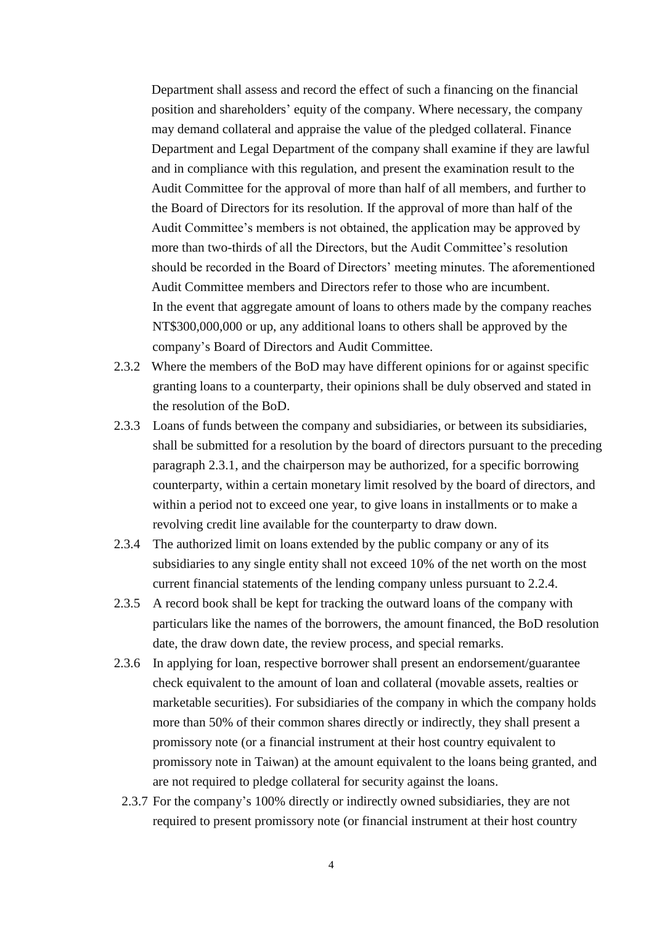Department shall assess and record the effect of such a financing on the financial position and shareholders' equity of the company. Where necessary, the company may demand collateral and appraise the value of the pledged collateral. Finance Department and Legal Department of the company shall examine if they are lawful and in compliance with this regulation, and present the examination result to the Audit Committee for the approval of more than half of all members, and further to the Board of Directors for its resolution. If the approval of more than half of the Audit Committee's members is not obtained, the application may be approved by more than two-thirds of all the Directors, but the Audit Committee's resolution should be recorded in the Board of Directors' meeting minutes. The aforementioned Audit Committee members and Directors refer to those who are incumbent. In the event that aggregate amount of loans to others made by the company reaches NT\$300,000,000 or up, any additional loans to others shall be approved by the company's Board of Directors and Audit Committee.

- 2.3.2 Where the members of the BoD may have different opinions for or against specific granting loans to a counterparty, their opinions shall be duly observed and stated in the resolution of the BoD.
- 2.3.3 Loans of funds between the company and subsidiaries, or between its subsidiaries, shall be submitted for a resolution by the board of directors pursuant to the preceding paragraph 2.3.1, and the chairperson may be authorized, for a specific borrowing counterparty, within a certain monetary limit resolved by the board of directors, and within a period not to exceed one year, to give loans in installments or to make a revolving credit line available for the counterparty to draw down.
- 2.3.4 The authorized limit on loans extended by the public company or any of its subsidiaries to any single entity shall not exceed 10% of the net worth on the most current financial statements of the lending company unless pursuant to 2.2.4.
- 2.3.5 A record book shall be kept for tracking the outward loans of the company with particulars like the names of the borrowers, the amount financed, the BoD resolution date, the draw down date, the review process, and special remarks.
- 2.3.6 In applying for loan, respective borrower shall present an endorsement/guarantee check equivalent to the amount of loan and collateral (movable assets, realties or marketable securities). For subsidiaries of the company in which the company holds more than 50% of their common shares directly or indirectly, they shall present a promissory note (or a financial instrument at their host country equivalent to promissory note in Taiwan) at the amount equivalent to the loans being granted, and are not required to pledge collateral for security against the loans.
	- 2.3.7 For the company's 100% directly or indirectly owned subsidiaries, they are not required to present promissory note (or financial instrument at their host country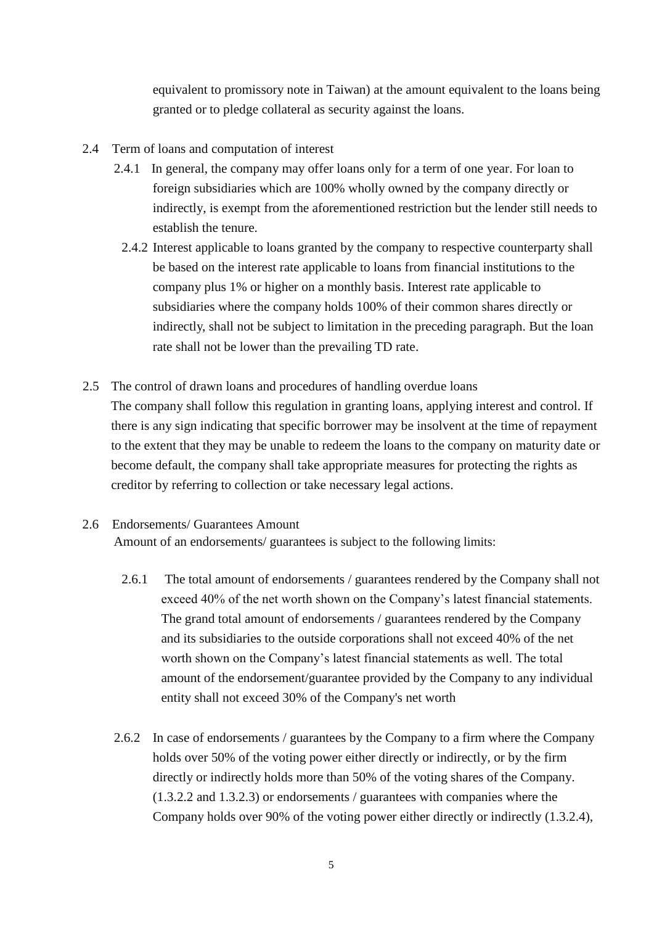equivalent to promissory note in Taiwan) at the amount equivalent to the loans being granted or to pledge collateral as security against the loans.

- 2.4 Term of loans and computation of interest
	- 2.4.1 In general, the company may offer loans only for a term of one year. For loan to foreign subsidiaries which are 100% wholly owned by the company directly or indirectly, is exempt from the aforementioned restriction but the lender still needs to establish the tenure.
		- 2.4.2 Interest applicable to loans granted by the company to respective counterparty shall be based on the interest rate applicable to loans from financial institutions to the company plus 1% or higher on a monthly basis. Interest rate applicable to subsidiaries where the company holds 100% of their common shares directly or indirectly, shall not be subject to limitation in the preceding paragraph. But the loan rate shall not be lower than the prevailing TD rate.
- 2.5 The control of drawn loans and procedures of handling overdue loans The company shall follow this regulation in granting loans, applying interest and control. If there is any sign indicating that specific borrower may be insolvent at the time of repayment to the extent that they may be unable to redeem the loans to the company on maturity date or become default, the company shall take appropriate measures for protecting the rights as creditor by referring to collection or take necessary legal actions.

### 2.6 Endorsements/ Guarantees Amount

Amount of an endorsements/ guarantees is subject to the following limits:

- 2.6.1 The total amount of endorsements / guarantees rendered by the Company shall not exceed 40% of the net worth shown on the Company's latest financial statements. The grand total amount of endorsements / guarantees rendered by the Company and its subsidiaries to the outside corporations shall not exceed 40% of the net worth shown on the Company's latest financial statements as well. The total amount of the endorsement/guarantee provided by the Company to any individual entity shall not exceed 30% of the Company's net worth
- 2.6.2 In case of endorsements / guarantees by the Company to a firm where the Company holds over 50% of the voting power either directly or indirectly, or by the firm directly or indirectly holds more than 50% of the voting shares of the Company. (1.3.2.2 and 1.3.2.3) or endorsements / guarantees with companies where the Company holds over 90% of the voting power either directly or indirectly (1.3.2.4),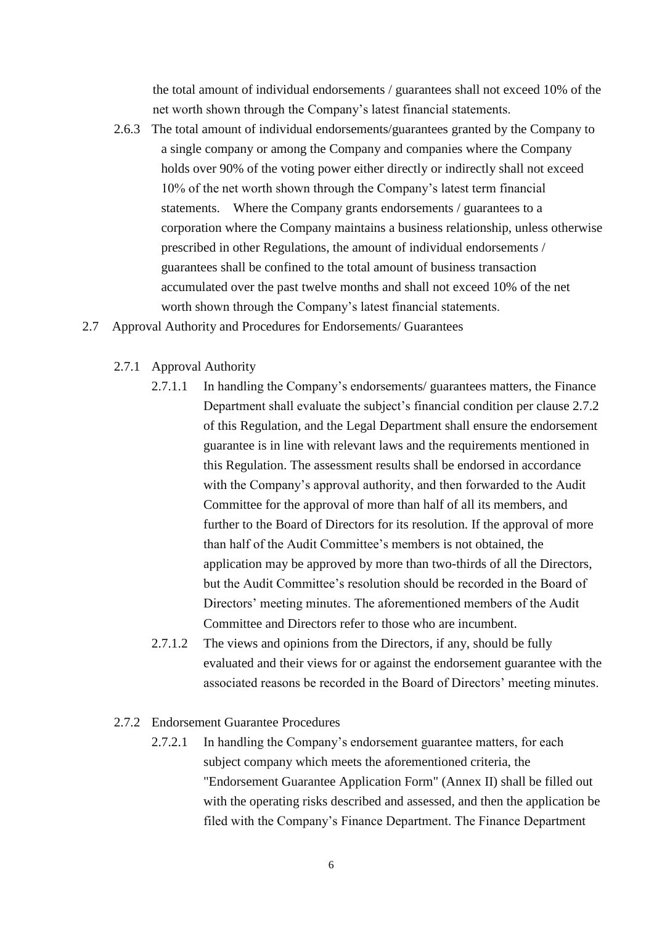the total amount of individual endorsements / guarantees shall not exceed 10% of the net worth shown through the Company's latest financial statements.

- 2.6.3 The total amount of individual endorsements/guarantees granted by the Company to a single company or among the Company and companies where the Company holds over 90% of the voting power either directly or indirectly shall not exceed 10% of the net worth shown through the Company's latest term financial statements. Where the Company grants endorsements / guarantees to a corporation where the Company maintains a business relationship, unless otherwise prescribed in other Regulations, the amount of individual endorsements / guarantees shall be confined to the total amount of business transaction accumulated over the past twelve months and shall not exceed 10% of the net worth shown through the Company's latest financial statements.
- 2.7 Approval Authority and Procedures for Endorsements/ Guarantees
	- 2.7.1 Approval Authority
		- 2.7.1.1 In handling the Company's endorsements/ guarantees matters, the Finance Department shall evaluate the subject's financial condition per clause 2.7.2 of this Regulation, and the Legal Department shall ensure the endorsement guarantee is in line with relevant laws and the requirements mentioned in this Regulation. The assessment results shall be endorsed in accordance with the Company's approval authority, and then forwarded to the Audit Committee for the approval of more than half of all its members, and further to the Board of Directors for its resolution. If the approval of more than half of the Audit Committee's members is not obtained, the application may be approved by more than two-thirds of all the Directors, but the Audit Committee's resolution should be recorded in the Board of Directors' meeting minutes. The aforementioned members of the Audit Committee and Directors refer to those who are incumbent.
		- 2.7.1.2 The views and opinions from the Directors, if any, should be fully evaluated and their views for or against the endorsement guarantee with the associated reasons be recorded in the Board of Directors' meeting minutes.

### 2.7.2 Endorsement Guarantee Procedures

2.7.2.1 In handling the Company's endorsement guarantee matters, for each subject company which meets the aforementioned criteria, the "Endorsement Guarantee Application Form" (Annex II) shall be filled out with the operating risks described and assessed, and then the application be filed with the Company's Finance Department. The Finance Department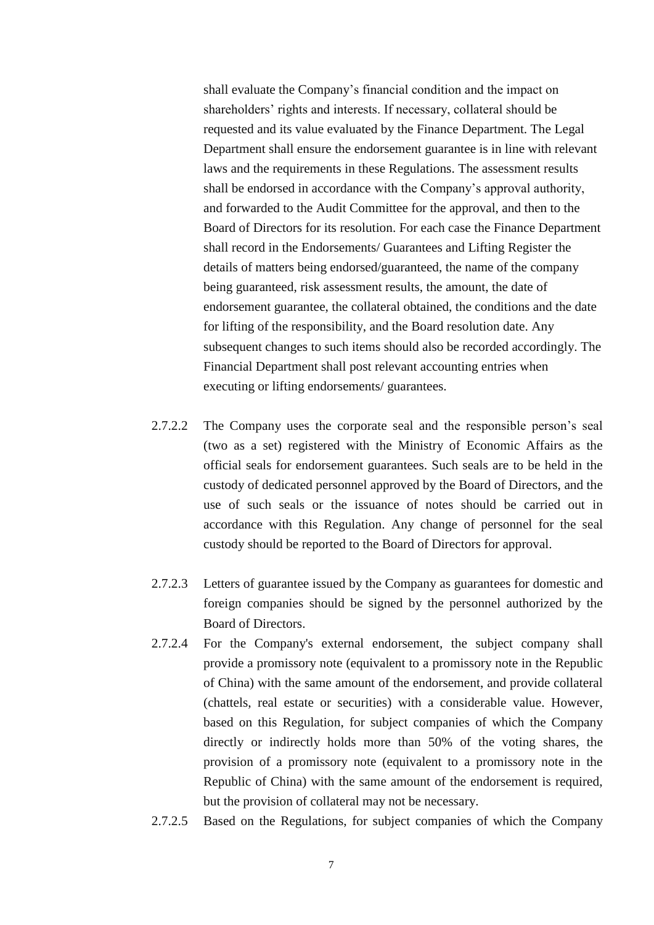shall evaluate the Company's financial condition and the impact on shareholders' rights and interests. If necessary, collateral should be requested and its value evaluated by the Finance Department. The Legal Department shall ensure the endorsement guarantee is in line with relevant laws and the requirements in these Regulations. The assessment results shall be endorsed in accordance with the Company's approval authority, and forwarded to the Audit Committee for the approval, and then to the Board of Directors for its resolution. For each case the Finance Department shall record in the Endorsements/ Guarantees and Lifting Register the details of matters being endorsed/guaranteed, the name of the company being guaranteed, risk assessment results, the amount, the date of endorsement guarantee, the collateral obtained, the conditions and the date for lifting of the responsibility, and the Board resolution date. Any subsequent changes to such items should also be recorded accordingly. The Financial Department shall post relevant accounting entries when executing or lifting endorsements/ guarantees.

- 2.7.2.2 The Company uses the corporate seal and the responsible person's seal (two as a set) registered with the Ministry of Economic Affairs as the official seals for endorsement guarantees. Such seals are to be held in the custody of dedicated personnel approved by the Board of Directors, and the use of such seals or the issuance of notes should be carried out in accordance with this Regulation. Any change of personnel for the seal custody should be reported to the Board of Directors for approval.
- 2.7.2.3 Letters of guarantee issued by the Company as guarantees for domestic and foreign companies should be signed by the personnel authorized by the Board of Directors.
- 2.7.2.4 For the Company's external endorsement, the subject company shall provide a promissory note (equivalent to a promissory note in the Republic of China) with the same amount of the endorsement, and provide collateral (chattels, real estate or securities) with a considerable value. However, based on this Regulation, for subject companies of which the Company directly or indirectly holds more than 50% of the voting shares, the provision of a promissory note (equivalent to a promissory note in the Republic of China) with the same amount of the endorsement is required, but the provision of collateral may not be necessary.
- 2.7.2.5 Based on the Regulations, for subject companies of which the Company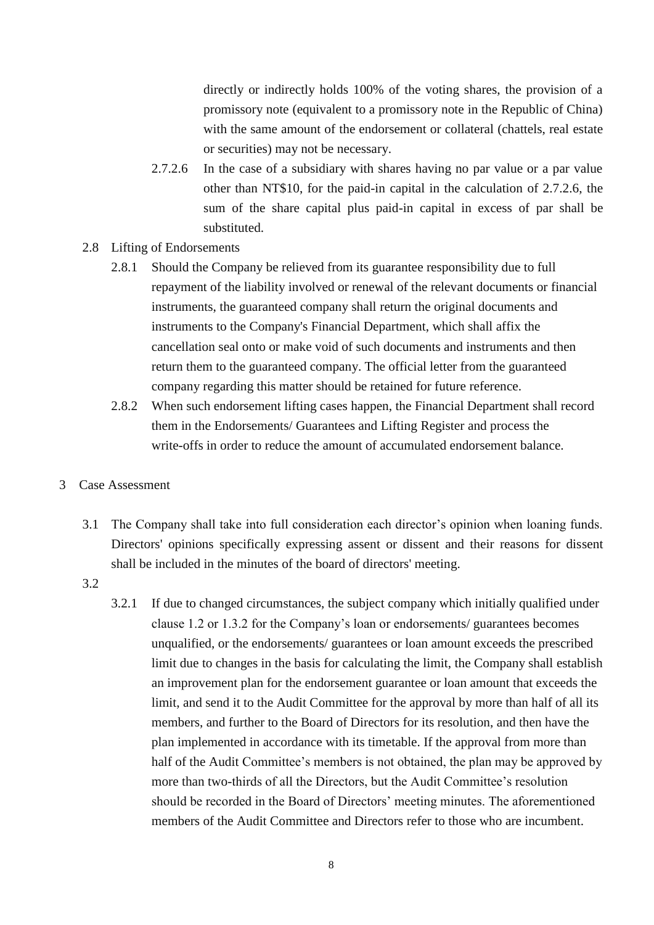directly or indirectly holds 100% of the voting shares, the provision of a promissory note (equivalent to a promissory note in the Republic of China) with the same amount of the endorsement or collateral (chattels, real estate or securities) may not be necessary.

- 2.7.2.6 In the case of a subsidiary with shares having no par value or a par value other than NT\$10, for the paid-in capital in the calculation of 2.7.2.6, the sum of the share capital plus paid-in capital in excess of par shall be substituted.
- 2.8 Lifting of Endorsements
	- 2.8.1 Should the Company be relieved from its guarantee responsibility due to full repayment of the liability involved or renewal of the relevant documents or financial instruments, the guaranteed company shall return the original documents and instruments to the Company's Financial Department, which shall affix the cancellation seal onto or make void of such documents and instruments and then return them to the guaranteed company. The official letter from the guaranteed company regarding this matter should be retained for future reference.
	- 2.8.2 When such endorsement lifting cases happen, the Financial Department shall record them in the Endorsements/ Guarantees and Lifting Register and process the write-offs in order to reduce the amount of accumulated endorsement balance.
- 3 Case Assessment
	- 3.1 The Company shall take into full consideration each director's opinion when loaning funds. Directors' opinions specifically expressing assent or dissent and their reasons for dissent shall be included in the minutes of the board of directors' meeting.
	- 3.2
- 3.2.1 If due to changed circumstances, the subject company which initially qualified under clause 1.2 or 1.3.2 for the Company's loan or endorsements/ guarantees becomes unqualified, or the endorsements/ guarantees or loan amount exceeds the prescribed limit due to changes in the basis for calculating the limit, the Company shall establish an improvement plan for the endorsement guarantee or loan amount that exceeds the limit, and send it to the Audit Committee for the approval by more than half of all its members, and further to the Board of Directors for its resolution, and then have the plan implemented in accordance with its timetable. If the approval from more than half of the Audit Committee's members is not obtained, the plan may be approved by more than two-thirds of all the Directors, but the Audit Committee's resolution should be recorded in the Board of Directors' meeting minutes. The aforementioned members of the Audit Committee and Directors refer to those who are incumbent.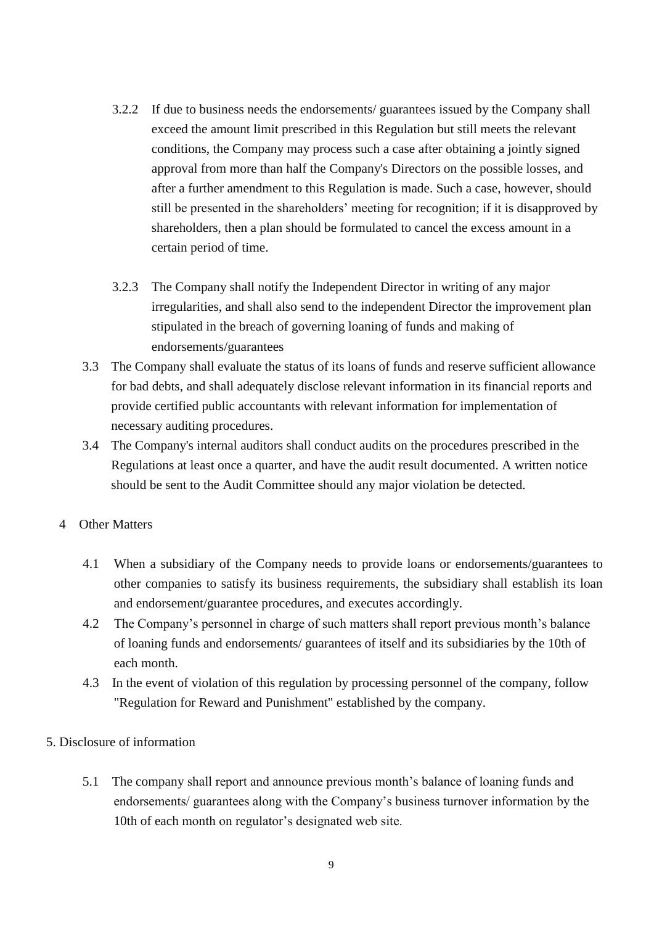- 3.2.2 If due to business needs the endorsements/ guarantees issued by the Company shall exceed the amount limit prescribed in this Regulation but still meets the relevant conditions, the Company may process such a case after obtaining a jointly signed approval from more than half the Company's Directors on the possible losses, and after a further amendment to this Regulation is made. Such a case, however, should still be presented in the shareholders' meeting for recognition; if it is disapproved by shareholders, then a plan should be formulated to cancel the excess amount in a certain period of time.
- 3.2.3 The Company shall notify the Independent Director in writing of any major irregularities, and shall also send to the independent Director the improvement plan stipulated in the breach of governing loaning of funds and making of endorsements/guarantees
- 3.3 The Company shall evaluate the status of its loans of funds and reserve sufficient allowance for bad debts, and shall adequately disclose relevant information in its financial reports and provide certified public accountants with relevant information for implementation of necessary auditing procedures.
- 3.4 The Company's internal auditors shall conduct audits on the procedures prescribed in the Regulations at least once a quarter, and have the audit result documented. A written notice should be sent to the Audit Committee should any major violation be detected.

# 4 Other Matters

- 4.1 When a subsidiary of the Company needs to provide loans or endorsements/guarantees to other companies to satisfy its business requirements, the subsidiary shall establish its loan and endorsement/guarantee procedures, and executes accordingly.
- 4.2 The Company's personnel in charge of such matters shall report previous month's balance of loaning funds and endorsements/ guarantees of itself and its subsidiaries by the 10th of each month.
- 4.3 In the event of violation of this regulation by processing personnel of the company, follow "Regulation for Reward and Punishment" established by the company.

### 5. Disclosure of information

5.1 The company shall report and announce previous month's balance of loaning funds and endorsements/ guarantees along with the Company's business turnover information by the 10th of each month on regulator's designated web site.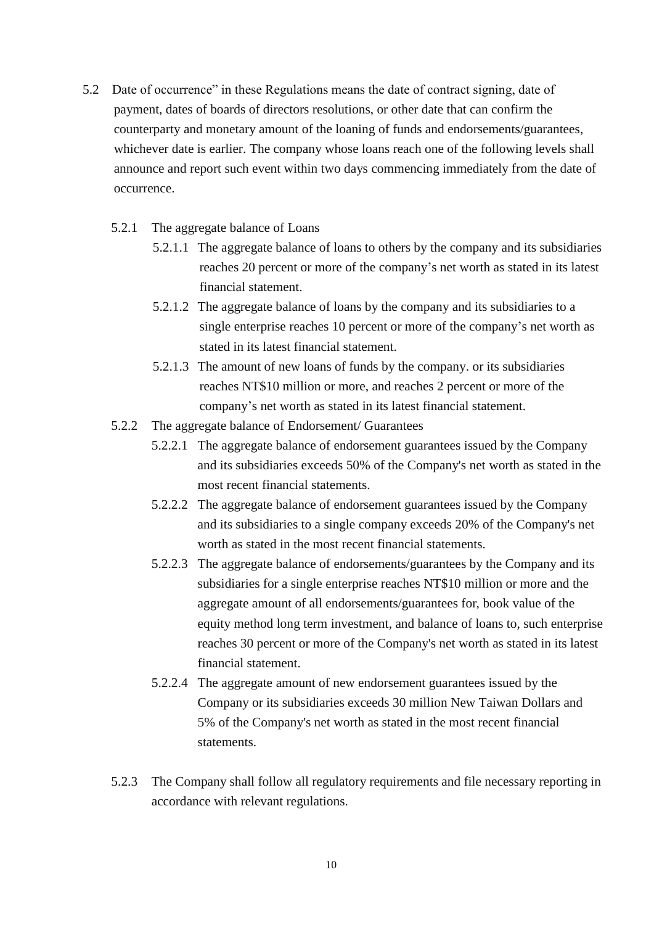- 5.2 Date of occurrence" in these Regulations means the date of contract signing, date of payment, dates of boards of directors resolutions, or other date that can confirm the counterparty and monetary amount of the loaning of funds and endorsements/guarantees, whichever date is earlier. The company whose loans reach one of the following levels shall announce and report such event within two days commencing immediately from the date of occurrence.
	- 5.2.1 The aggregate balance of Loans
		- 5.2.1.1 The aggregate balance of loans to others by the company and its subsidiaries reaches 20 percent or more of the company's net worth as stated in its latest financial statement.
		- 5.2.1.2 The aggregate balance of loans by the company and its subsidiaries to a single enterprise reaches 10 percent or more of the company's net worth as stated in its latest financial statement.
		- 5.2.1.3 The amount of new loans of funds by the company. or its subsidiaries reaches NT\$10 million or more, and reaches 2 percent or more of the company's net worth as stated in its latest financial statement.
	- 5.2.2 The aggregate balance of Endorsement/ Guarantees
		- 5.2.2.1 The aggregate balance of endorsement guarantees issued by the Company and its subsidiaries exceeds 50% of the Company's net worth as stated in the most recent financial statements.
		- 5.2.2.2 The aggregate balance of endorsement guarantees issued by the Company and its subsidiaries to a single company exceeds 20% of the Company's net worth as stated in the most recent financial statements.
		- 5.2.2.3 The aggregate balance of endorsements/guarantees by the Company and its subsidiaries for a single enterprise reaches NT\$10 million or more and the aggregate amount of all endorsements/guarantees for, book value of the equity method long term investment, and balance of loans to, such enterprise reaches 30 percent or more of the Company's net worth as stated in its latest financial statement.
		- 5.2.2.4 The aggregate amount of new endorsement guarantees issued by the Company or its subsidiaries exceeds 30 million New Taiwan Dollars and 5% of the Company's net worth as stated in the most recent financial statements.
	- 5.2.3 The Company shall follow all regulatory requirements and file necessary reporting in accordance with relevant regulations.